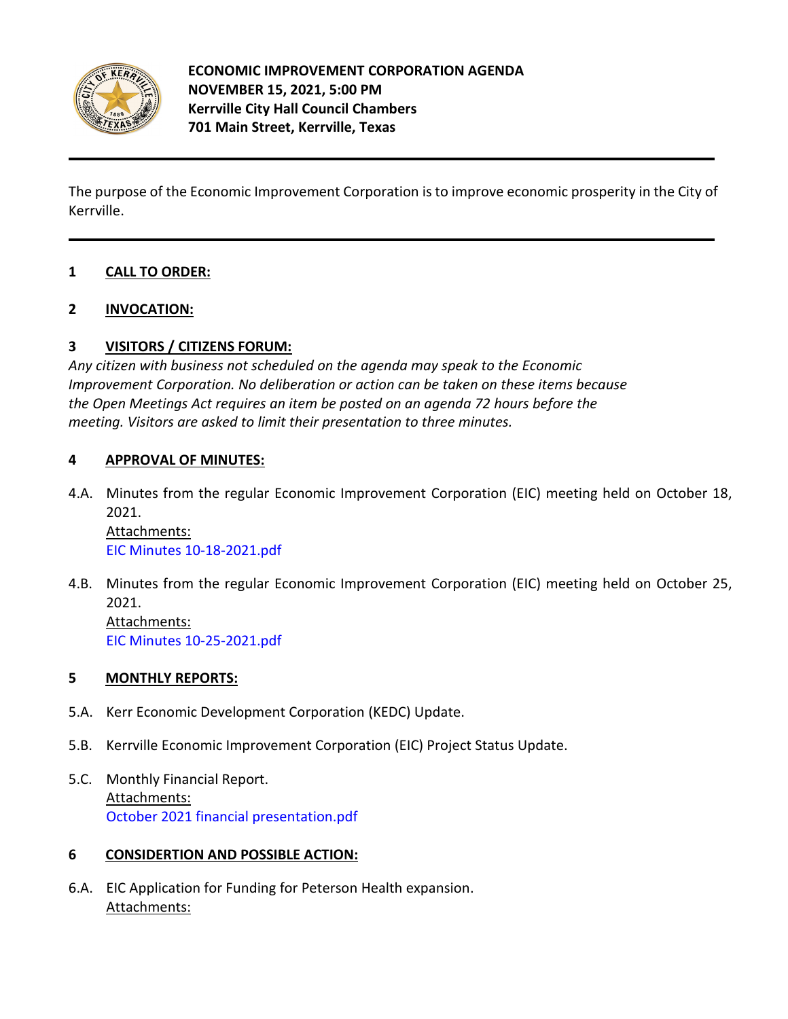

The purpose of the Economic Improvement Corporation is to improve economic prosperity in the City of Kerrville.

# **1 CALL TO ORDER:**

## **2 INVOCATION:**

## **3 VISITORS / CITIZENS FORUM:**

*Any citizen with business not scheduled on the agenda may speak to the Economic Improvement Corporation. No deliberation or action can be taken on these items because the Open Meetings Act requires an item be posted on an agenda 72 hours before the meeting. Visitors are asked to limit their presentation to three minutes.*

## **4 APPROVAL OF MINUTES:**

4.A. [Minutes from the regular Economic Improvement Corporation \(EIC\) meeting held on October 18,](https://d2kbkoa27fdvtw.cloudfront.net/kerrvilletx/8daad28b93ea8d4e1fe458cd62b39df90.pdf)  [2021.](https://d2kbkoa27fdvtw.cloudfront.net/kerrvilletx/8daad28b93ea8d4e1fe458cd62b39df90.pdf)

Attachments: [EIC Minutes 10-18-2021.pdf](https://legistarweb-production.s3.amazonaws.com/uploads/attachment/pdf/1107174/EIC_Minutes_10-18-2021.pdf)

4.B. [Minutes from the regular Economic Improvement Corporation \(EIC\) meeting held on October 25,](https://d2kbkoa27fdvtw.cloudfront.net/kerrvilletx/f8ac035e6d8c899228e04135265d41530.pdf)  [2021.](https://d2kbkoa27fdvtw.cloudfront.net/kerrvilletx/f8ac035e6d8c899228e04135265d41530.pdf) Attachments: [EIC Minutes 10-25-2021.pdf](https://legistarweb-production.s3.amazonaws.com/uploads/attachment/pdf/1115460/EIC_Minutes_10-25-2021.pdf)

### **5 MONTHLY REPORTS:**

- 5.A. [Kerr Economic Development Corporation \(KEDC\) Update.](https://d2kbkoa27fdvtw.cloudfront.net/kerrvilletx/5bd56f399d25748bfe3df98a5e920f5b0.pdf)
- 5.B. [Kerrville Economic Improvement Corporation \(EIC\) Project Status Update.](https://d2kbkoa27fdvtw.cloudfront.net/kerrvilletx/c7963fbbf3616f9bff8831d872fd49410.pdf)
- 5.C. [Monthly Financial Report.](https://d2kbkoa27fdvtw.cloudfront.net/kerrvilletx/94b53ec0f741a803f41bdcdcf11ea9250.pdf) Attachments: [October 2021 financial presentation.pdf](https://legistarweb-production.s3.amazonaws.com/uploads/attachment/pdf/1140090/October_2021_financial_presentation.pdf)

## **6 CONSIDERTION AND POSSIBLE ACTION:**

6.A. [EIC Application for Funding for Peterson Health expansion.](https://d2kbkoa27fdvtw.cloudfront.net/kerrvilletx/5a2a6dd88d5640cfc0efab4c7e0d2a0d0.pdf) Attachments: